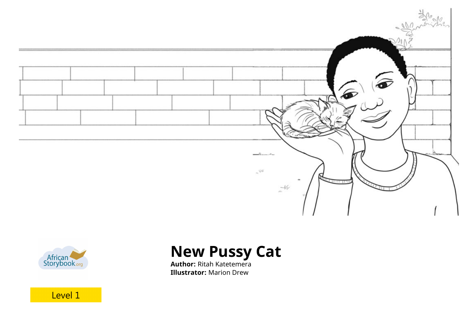



# **New Pussy Cat**

**Author:** Ritah Katetemera **Illustrator:** Marion Drew

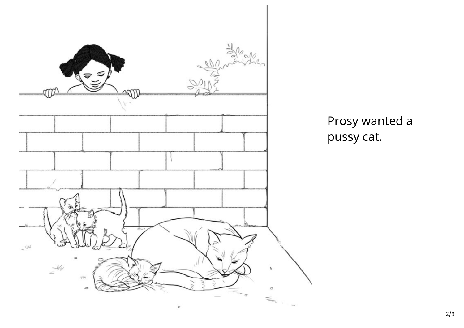

Prosy wanted a pussy cat.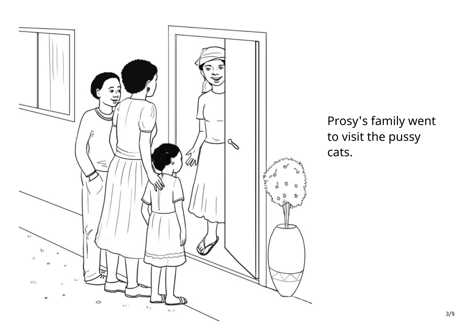

Prosy's family went to visit the pussy cats.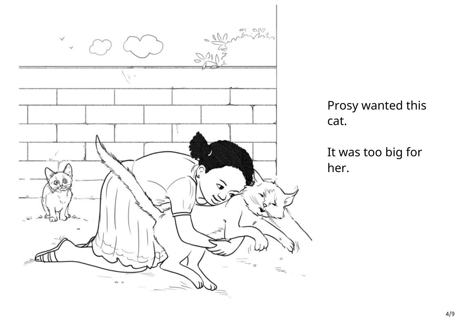

Prosy wanted this cat.

It was too big for her.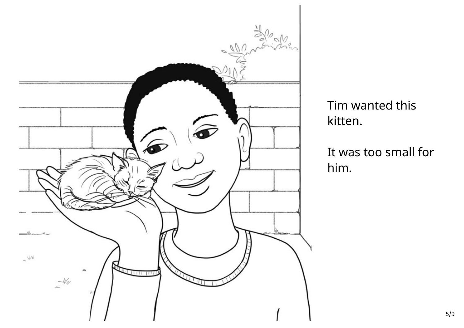

Tim wanted this kitten.

It was too small for him.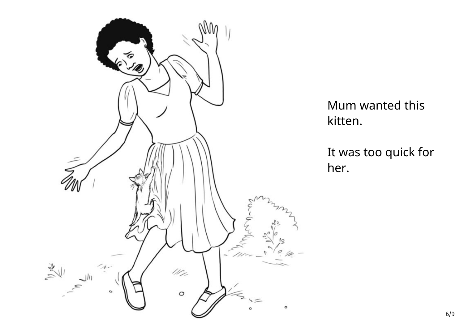

Mum wanted this

It was too quick for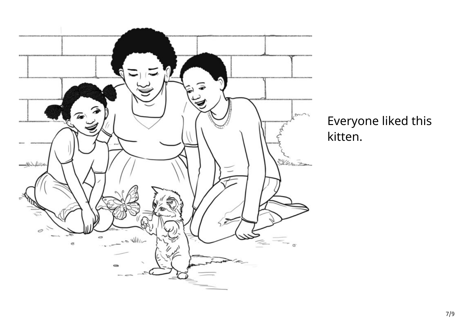

Everyone liked this kitten.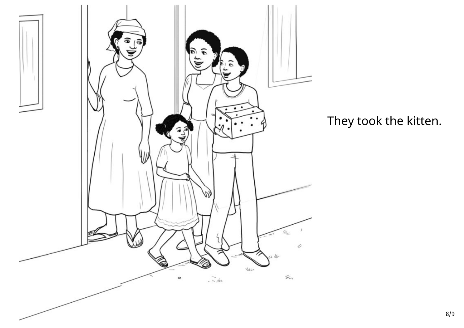

They took the kitten.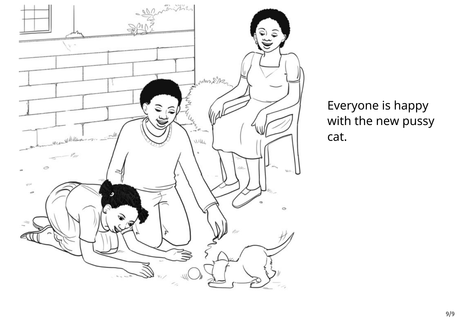

Everyone is happy with the new pussy cat.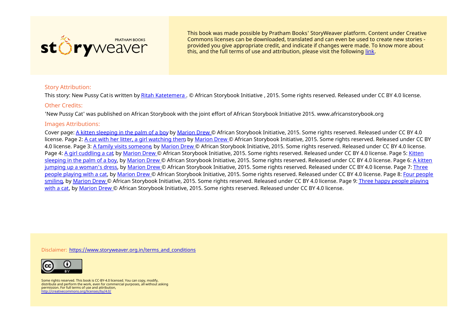

This book was made possible by Pratham Books' StoryWeaver platform. Content under Creative Commons licenses can be downloaded, translated and can even be used to create new stories ‐ provided you give appropriate credit, and indicate if changes were made. To know more about this, and the full terms of use and attribution, please visit the following [link](https://storyweaver.org.in/terms_and_conditions).

### Story Attribution:

This story: New Pussy Catis written by Ritah [Katetemera](https://storyweaver.org.in/users/16224-ritah-katetemera) . © African Storybook Initiative , 2015. Some rights reserved. Released under CC BY 4.0 license.

#### Other Credits:

'New Pussy Cat' was published on African Storybook with the joint effort of African Storybook Initiative 2015. www.africanstorybook.org

#### Images Attributions:

Cover page: A kitten [sleeping](https://storyweaver.org.in/illustrations/7269-a-kitten-sleeping-in-the-palm-of-a-boy) in the palm of a boy by [Marion](https://storyweaver.org.in/users/16302-marion-drew) Drew © African Storybook Initiative, 2015. Some rights reserved. Released under CC BY 4.0 license. Page 2: A cat with her litter, a girl [watching](https://storyweaver.org.in/illustrations/7270-a-cat-with-her-litter-a-girl-watching-them) them, by [Marion](https://storyweaver.org.in/users/16302-marion-drew) Drew © African Storybook Initiative, 2015. Some rights reserved. Released under CC BY 4.0 license. Page 3: A family visits [someone](https://storyweaver.org.in/illustrations/7271-a-family-visits-someone), by [Marion](https://storyweaver.org.in/users/16302-marion-drew) Drew © African Storybook Initiative, 2015. Some rights reserved. Released under CC BY 4.0 license. Page 4: A girl [cuddling](https://storyweaver.org.in/illustrations/7272-a-girl-cuddling-a-cat) a cat, by [Marion](https://storyweaver.org.in/users/16302-marion-drew) Drew © African [Storybook](https://storyweaver.org.in/illustrations/7273-kitten-sleeping-in-the-palm-of-a-boy) Initiative, 2015. Some rights reserved. Released under CC BY 4.0 license. Page 5: Kitten sleeping in the palm of a boy, by [Marion](https://storyweaver.org.in/users/16302-marion-drew) Drew © African [Storybook](https://storyweaver.org.in/illustrations/7274-a-kitten-jumping-up-a-woman-s-dress) Initiative, 2015. Some rights reserved. Released under CC BY 4.0 license. Page 6: A kitten jumping up a woman's dress, by [Marion](https://storyweaver.org.in/users/16302-marion-drew) Drew © African [Storybook](https://storyweaver.org.in/illustrations/7275-three-people-playing-with-a-cat) Initiative, 2015. Some rights reserved. Released under CC BY 4.0 license. Page 7: Three people playing with a cat, by [Marion](https://storyweaver.org.in/users/16302-marion-drew) Drew © African [Storybook](https://storyweaver.org.in/illustrations/7276-four-people-smiling) Initiative, 2015. Some rights reserved. Released under CC BY 4.0 license. Page 8: Four people smiling, by [Marion](https://storyweaver.org.in/users/16302-marion-drew) Drew © African Storybook Initiative, 2015. Some rights reserved. Released under CC BY 4.0 license. Page 9: Three happy people playing with a cat, by [Marion](https://storyweaver.org.in/users/16302-marion-drew) Drew © African [Storybook](https://storyweaver.org.in/illustrations/7277-three-happy-people-playing-with-a-cat) Initiative, 2015. Some rights reserved. Released under CC BY 4.0 license.

Disclaimer: [https://www.storyweaver.org.in/terms\\_and\\_conditions](https://storyweaver.org.in/terms_and_conditions)



Some rights reserved. This book is CC-BY-4.0 licensed. You can copy, modify, distribute and perform the work, even for commercial purposes, all without asking permission. For full terms of use and attribution, <http://creativecommons.org/licenses/by/4.0/>